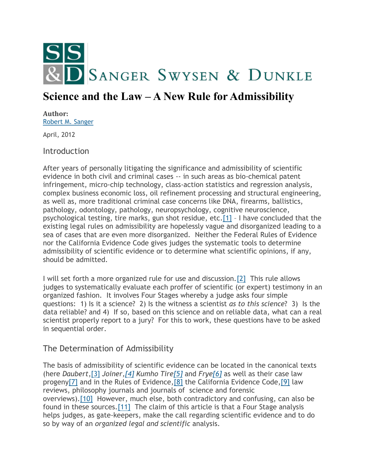

# **Science and the Law – A New Rule for Admissibility**

#### **Author:** [Robert M. Sanger](http://sangerswysen.com/robert-m-sanger)

April, 2012

#### **Introduction**

After years of personally litigating the significance and admissibility of scientific evidence in both civil and criminal cases -- in such areas as bio-chemical patent infringement, micro-chip technology, class-action statistics and regression analysis, complex business economic loss, oil refinement processing and structural engineering, as well as, more traditional criminal case concerns like DNA, firearms, ballistics, pathology, odontology, pathology, neuropsychology, cognitive neuroscience, psychological testing, tire marks, gun shot residue, etc[.\[1\]](#page-6-0) – I have concluded that the existing legal rules on admissibility are hopelessly vague and disorganized leading to a sea of cases that are even more disorganized. Neither the Federal Rules of Evidence nor the California Evidence Code gives judges the systematic tools to determine admissibility of scientific evidence or to determine what scientific opinions, if any, should be admitted.

I will set forth a more organized rule for use and discussion[.\[2\]](#page-6-1) This rule allows judges to systematically evaluate each proffer of scientific (or expert) testimony in an organized fashion. It involves Four Stages whereby a judge asks four simple questions: 1) Is it a science? 2) Is the witness a scientist *as to this science*? 3) Is the data reliable? and 4) If so, based on this science and on reliable data, what can a real scientist properly report to a jury? For this to work, these questions have to be asked in sequential order.

# The Determination of Admissibility

The basis of admissibility of scientific evidence can be located in the canonical texts (here *Daubert*[,\[3\]](#page-6-2) *Joiner[,\[4\]](#page-6-3) Kumho Tir[e\[5\]](#page-6-4)* and *Fry[e\[6\]](#page-7-0)* as well as their case law progen[y\[7\]](#page-7-1) and in the Rules of Evidence[,\[8\]](#page-7-2) the California Evidence Code[,\[9\]](#page-7-3) law reviews, philosophy journals and journals of science and forensic overviews)[.\[10\]](#page-7-4) However, much else, both contradictory and confusing, can also be found in these sources[.\[11\]](#page-7-5) The claim of this article is that a Four Stage analysis helps judges, as gate-keepers, make the call regarding scientific evidence and to do so by way of an *organized legal and scientific* analysis.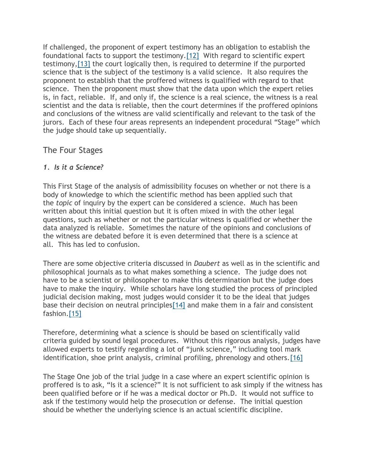If challenged, the proponent of expert testimony has an obligation to establish the foundational facts to support the testimony[.\[12\]](#page-7-6) With regard to scientific expert testimony[,\[13\]](#page-7-7) the court logically then, is required to determine if the purported science that is the subject of the testimony is a valid science. It also requires the proponent to establish that the proffered witness is qualified with regard to that science. Then the proponent must show that the data upon which the expert relies is, in fact, reliable. If, and only if, the science is a real science, the witness is a real scientist and the data is reliable, then the court determines if the proffered opinions and conclusions of the witness are valid scientifically and relevant to the task of the jurors. Each of these four areas represents an independent procedural "Stage" which the judge should take up sequentially.

# The Four Stages

#### *1. Is it a Science?*

This First Stage of the analysis of admissibility focuses on whether or not there is a body of knowledge to which the scientific method has been applied such that the *topic* of inquiry by the expert can be considered a science. Much has been written about this initial question but it is often mixed in with the other legal questions, such as whether or not the particular witness is qualified or whether the data analyzed is reliable. Sometimes the nature of the opinions and conclusions of the witness are debated before it is even determined that there is a science at all. This has led to confusion.

There are some objective criteria discussed in *Daubert* as well as in the scientific and philosophical journals as to what makes something a science. The judge does not have to be a scientist or philosopher to make this determination but the judge does have to make the inquiry. While scholars have long studied the process of principled judicial decision making, most judges would consider it to be the ideal that judges base their decision on neutral principle[s\[14\]](#page-7-8) and make them in a fair and consistent fashion[.\[15\]](#page-7-9)

Therefore, determining what a science is should be based on scientifically valid criteria guided by sound legal procedures. Without this rigorous analysis, judges have allowed experts to testify regarding a lot of "junk science," including tool mark identification, shoe print analysis, criminal profiling, phrenology and others[.\[16\]](#page-7-10)

The Stage One job of the trial judge in a case where an expert scientific opinion is proffered is to ask, "Is it a science?" It is not sufficient to ask simply if the witness has been qualified before or if he was a medical doctor or Ph.D. It would not suffice to ask if the testimony would help the prosecution or defense. The initial question should be whether the underlying science is an actual scientific discipline.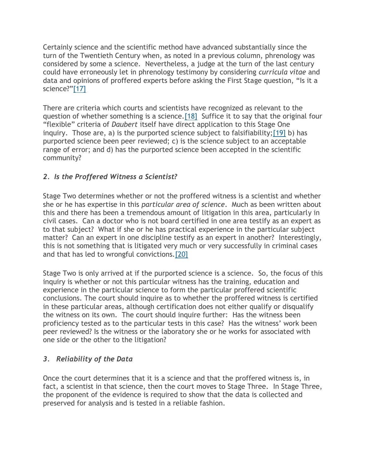Certainly science and the scientific method have advanced substantially since the turn of the Twentieth Century when, as noted in a previous column, phrenology was considered by some a science. Nevertheless, a judge at the turn of the last century could have erroneously let in phrenology testimony by considering *curricula vitae* and data and opinions of proffered experts before asking the First Stage question, "Is it a science?"[\[17\]](#page-7-11)

There are criteria which courts and scientists have recognized as relevant to the question of whether something is a science[.\[18\]](#page-7-12) Suffice it to say that the original four "flexible" criteria of *Daubert* itself have direct application to this Stage One inquiry. Those are, a) is the purported science subject to falsifiability[;\[19\]](#page-7-13) b) has purported science been peer reviewed; c) is the science subject to an acceptable range of error; and d) has the purported science been accepted in the scientific community?

# *2. Is the Proffered Witness a Scientist?*

Stage Two determines whether or not the proffered witness is a scientist and whether she or he has expertise in this *particular area of science*. Much as been written about this and there has been a tremendous amount of litigation in this area, particularly in civil cases. Can a doctor who is not board certified in one area testify as an expert as to that subject? What if she or he has practical experience in the particular subject matter? Can an expert in one discipline testify as an expert in another? Interestingly, this is not something that is litigated very much or very successfully in criminal cases and that has led to wrongful convictions[.\[20\]](#page-8-0)

Stage Two is only arrived at if the purported science is a science. So, the focus of this inquiry is whether or not this particular witness has the training, education and experience in the particular science to form the particular proffered scientific conclusions. The court should inquire as to whether the proffered witness is certified in these particular areas, although certification does not either qualify or disqualify the witness on its own. The court should inquire further: Has the witness been proficiency tested as to the particular tests in this case? Has the witness' work been peer reviewed? Is the witness or the laboratory she or he works for associated with one side or the other to the litigation?

# *3. Reliability of the Data*

Once the court determines that it is a science and that the proffered witness is, in fact, a scientist in that science, then the court moves to Stage Three. In Stage Three, the proponent of the evidence is required to show that the data is collected and preserved for analysis and is tested in a reliable fashion.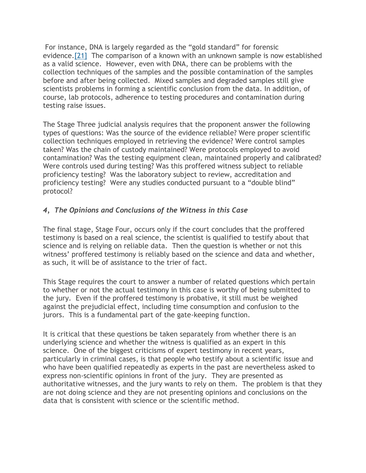For instance, DNA is largely regarded as the "gold standard" for forensic evidence[.\[21\]](#page-8-1) The comparison of a known with an unknown sample is now established as a valid science. However, even with DNA, there can be problems with the collection techniques of the samples and the possible contamination of the samples before and after being collected. Mixed samples and degraded samples still give scientists problems in forming a scientific conclusion from the data. In addition, of course, lab protocols, adherence to testing procedures and contamination during testing raise issues.

The Stage Three judicial analysis requires that the proponent answer the following types of questions: Was the source of the evidence reliable? Were proper scientific collection techniques employed in retrieving the evidence? Were control samples taken? Was the chain of custody maintained? Were protocols employed to avoid contamination? Was the testing equipment clean, maintained properly and calibrated? Were controls used during testing? Was this proffered witness subject to reliable proficiency testing? Was the laboratory subject to review, accreditation and proficiency testing? Were any studies conducted pursuant to a "double blind" protocol?

#### *4, The Opinions and Conclusions of the Witness in this Case*

The final stage, Stage Four, occurs only if the court concludes that the proffered testimony is based on a real science, the scientist is qualified to testify about that science and is relying on reliable data. Then the question is whether or not this witness' proffered testimony is reliably based on the science and data and whether, as such, it will be of assistance to the trier of fact.

This Stage requires the court to answer a number of related questions which pertain to whether or not the actual testimony in this case is worthy of being submitted to the jury. Even if the proffered testimony is probative, it still must be weighed against the prejudicial effect, including time consumption and confusion to the jurors. This is a fundamental part of the gate-keeping function.

It is critical that these questions be taken separately from whether there is an underlying science and whether the witness is qualified as an expert in this science. One of the biggest criticisms of expert testimony in recent years, particularly in criminal cases, is that people who testify about a scientific issue and who have been qualified repeatedly as experts in the past are nevertheless asked to express non-scientific opinions in front of the jury. They are presented as authoritative witnesses, and the jury wants to rely on them. The problem is that they are not doing science and they are not presenting opinions and conclusions on the data that is consistent with science or the scientific method.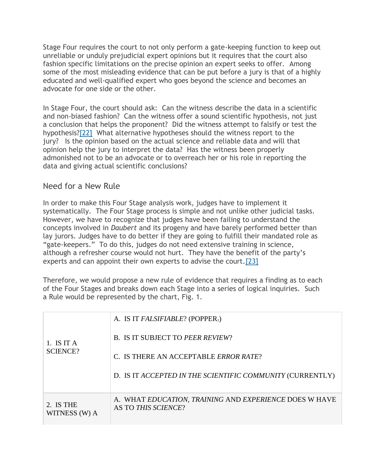Stage Four requires the court to not only perform a gate-keeping function to keep out unreliable or unduly prejudicial expert opinions but it requires that the court also fashion specific limitations on the precise opinion an expert seeks to offer. Among some of the most misleading evidence that can be put before a jury is that of a highly educated and well-qualified expert who goes beyond the science and becomes an advocate for one side or the other.

In Stage Four, the court should ask: Can the witness describe the data in a scientific and non-biased fashion? Can the witness offer a sound scientific hypothesis, not just a conclusion that helps the proponent? Did the witness attempt to falsify or test the hypothesis[?\[22\]](#page-8-2) What alternative hypotheses should the witness report to the jury? Is the opinion based on the actual science and reliable data and will that opinion help the jury to interpret the data? Has the witness been properly admonished not to be an advocate or to overreach her or his role in reporting the data and giving actual scientific conclusions?

#### Need for a New Rule

In order to make this Four Stage analysis work, judges have to implement it systematically. The Four Stage process is simple and not unlike other judicial tasks. However, we have to recognize that judges have been failing to understand the concepts involved in *Daubert* and its progeny and have barely performed better than lay jurors. Judges have to do better if they are going to fulfill their mandated role as "gate-keepers." To do this, judges do not need extensive training in science, although a refresher course would not hurt. They have the benefit of the party's experts and can appoint their own experts to advise the court[.\[23\]](#page-8-3)

Therefore, we would propose a new rule of evidence that requires a finding as to each of the Four Stages and breaks down each Stage into a series of logical inquiries. Such a Rule would be represented by the chart, Fig. 1.

| 1. IS IT A<br><b>SCIENCE?</b> | A. IS IT FALSIFIABLE? (POPPER1)<br><b>B. IS IT SUBJECT TO PEER REVIEW?</b><br>C. IS THERE AN ACCEPTABLE ERROR RATE? |
|-------------------------------|---------------------------------------------------------------------------------------------------------------------|
|                               | D. IS IT ACCEPTED IN THE SCIENTIFIC COMMUNITY (CURRENTLY)                                                           |
| 2. IS THE<br>WITNESS (W) A    | A. WHAT EDUCATION, TRAINING AND EXPERIENCE DOES W HAVE<br>AS TO THIS SCIENCE?                                       |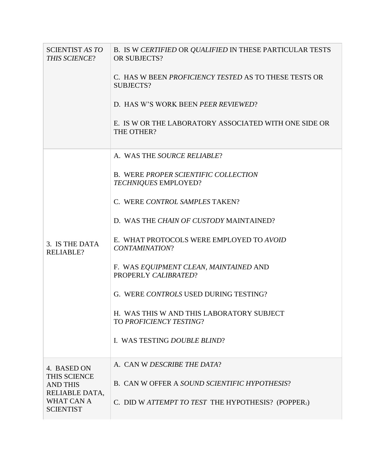| <b>SCIENTIST AS TO</b><br>THIS SCIENCE?                                                            | B. IS W CERTIFIED OR QUALIFIED IN THESE PARTICULAR TESTS<br>OR SUBJECTS?  |
|----------------------------------------------------------------------------------------------------|---------------------------------------------------------------------------|
|                                                                                                    | C. HAS W BEEN <i>PROFICIENCY TESTED</i> AS TO THESE TESTS OR<br>SUBJECTS? |
|                                                                                                    | D. HAS W'S WORK BEEN PEER REVIEWED?                                       |
|                                                                                                    | E. IS W OR THE LABORATORY ASSOCIATED WITH ONE SIDE OR<br>THE OTHER?       |
| 3. IS THE DATA<br><b>RELIABLE?</b>                                                                 | A. WAS THE SOURCE RELIABLE?                                               |
|                                                                                                    | <b>B. WERE PROPER SCIENTIFIC COLLECTION</b><br>TECHNIQUES EMPLOYED?       |
|                                                                                                    | C. WERE CONTROL SAMPLES TAKEN?                                            |
|                                                                                                    | D. WAS THE CHAIN OF CUSTODY MAINTAINED?                                   |
|                                                                                                    | E. WHAT PROTOCOLS WERE EMPLOYED TO AVOID<br>CONTAMINATION?                |
|                                                                                                    | F. WAS EQUIPMENT CLEAN, MAINTAINED AND<br>PROPERLY CALIBRATED?            |
|                                                                                                    | G. WERE CONTROLS USED DURING TESTING?                                     |
|                                                                                                    | H. WAS THIS W AND THIS LABORATORY SUBJECT<br>TO PROFICIENCY TESTING?      |
|                                                                                                    | I. WAS TESTING DOUBLE BLIND?                                              |
| 4. BASED ON<br>THIS SCIENCE<br><b>AND THIS</b><br>RELIABLE DATA,<br>WHAT CAN A<br><b>SCIENTIST</b> | A. CAN W DESCRIBE THE DATA?                                               |
|                                                                                                    | B. CAN W OFFER A SOUND SCIENTIFIC HYPOTHESIS?                             |
|                                                                                                    | C. DID W ATTEMPT TO TEST THE HYPOTHESIS? (POPPER <sub>2</sub> )           |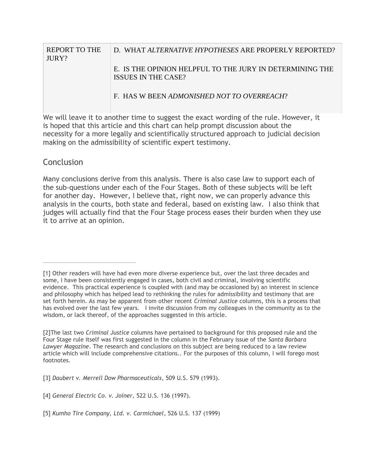| <b>REPORT TO THE</b><br>JURY? | D. WHAT ALTERNATIVE HYPOTHESES ARE PROPERLY REPORTED?                           |
|-------------------------------|---------------------------------------------------------------------------------|
|                               | E. IS THE OPINION HELPEUL TO THE JURY IN DETERMINING THE<br>ISSUES IN THE CASE? |
|                               | F. HAS W BEEN ADMONISHED NOT TO OVERREACH?                                      |

We will leave it to another time to suggest the exact wording of the rule. However, it is hoped that this article and this chart can help prompt discussion about the necessity for a more legally and scientifically structured approach to judicial decision making on the admissibility of scientific expert testimony.

# **Conclusion**

Many conclusions derive from this analysis. There is also case law to support each of the sub-questions under each of the Four Stages. Both of these subjects will be left for another day. However, I believe that, right now, we can properly advance this analysis in the courts, both state and federal, based on existing law. I also think that judges will actually find that the Four Stage process eases their burden when they use it to arrive at an opinion.

<span id="page-6-0"></span><sup>[1]</sup> Other readers will have had even more diverse experience but, over the last three decades and some, I have been consistently engaged in cases, both civil and criminal, involving scientific evidence. This practical experience is coupled with (and may be occasioned by) an interest in science and philosophy which has helped lead to rethinking the rules for admissibility and testimony that are set forth herein. As may be apparent from other recent *Criminal Justice* columns, this is a process that has evolved over the last few years. I invite discussion from my colleagues in the community as to the wisdom, or lack thereof, of the approaches suggested in this article.

<span id="page-6-1"></span><sup>[2]</sup>The last two *Criminal Justice* columns have pertained to background for this proposed rule and the Four Stage rule itself was first suggested in the column in the February issue of the *Santa Barbara Lawyer Magazine*. The research and conclusions on this subject are being reduced to a law review article which will include comprehensive citations.. For the purposes of this column, I will forego most footnotes.

<span id="page-6-2"></span><sup>[3]</sup> *Daubert v. Merrell Dow Pharmaceuticals*, 509 U.S. 579 (1993).

<span id="page-6-3"></span><sup>[4]</sup> *General Electric Co. v. Joiner,* 522 U.S. 136 (1997).

<span id="page-6-4"></span><sup>[5]</sup> *Kumho Tire Company, Ltd. v. Carmichael*, 526 U.S. 137 (1999)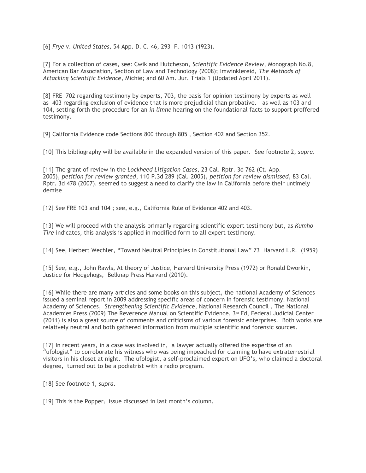<span id="page-7-0"></span>[6] *Frye* v. *United States,* 54 App. D. C. 46, 293 F. 1013 (1923).

<span id="page-7-1"></span>[7] For a collection of cases, see: Cwik and Hutcheson, *Scientific Evidence Review*, Monograph No.8, American Bar Association, Section of Law and Technology (2008); Imwinklereid, *The Methods of Attacking Scientific Evidence*, Michie; and 60 Am. Jur. Trials 1 (Updated April 2011).

<span id="page-7-2"></span>[8] FRE 702 regarding testimony by experts, 703, the basis for opinion testimony by experts as well as 403 regarding exclusion of evidence that is more prejudicial than probative. as well as 103 and 104, setting forth the procedure for an *in limne* hearing on the foundational facts to support proffered testimony.

<span id="page-7-3"></span>[9] California Evidence code Sections 800 through 805 , Section 402 and Section 352.

<span id="page-7-4"></span>[10] This bibliography will be available in the expanded version of this paper. See footnote 2, *supra*.

<span id="page-7-5"></span>[11] The grant of review in the *Lockheed Litigation Cases*, 23 Cal. Rptr. 3d 762 (Ct. App. 2005), *petition for review granted*, 110 P.3d 289 (Cal. 2005), *petition for review dismissed*, 83 Cal. Rptr. 3d 478 (2007). seemed to suggest a need to clarify the law in California before their untimely demise

<span id="page-7-6"></span>[12] See FRE 103 and 104; see, e.g., California Rule of Evidence 402 and 403.

<span id="page-7-7"></span>[13] We will proceed with the analysis primarily regarding scientific expert testimony but, as *Kumho Tire* indicates, this analysis is applied in modified form to all expert testimony.

<span id="page-7-8"></span>[14] See, Herbert Wechler, "Toward Neutral Principles in Constitutional Law" 73 Harvard L.R. (1959)

<span id="page-7-9"></span>[15] See, e.g., John Rawls, At theory of Justice, Harvard University Press (1972) or Ronald Dworkin, Justice for Hedgehogs, Belknap Press Harvard (2010).

<span id="page-7-10"></span>[16] While there are many articles and some books on this subject, the national Academy of Sciences issued a seminal report in 2009 addressing specific areas of concern in forensic testimony. National Academy of Sciences, *Strengthening Scientific Evidenc*e, National Research Council , The National Academies Press (2009) The Reverence Manual on Scientific Evidence, 3<sup>rd</sup> Ed, Federal Judicial Center (2011) is also a great source of comments and criticisms of various forensic enterprises. Both works are relatively neutral and both gathered information from multiple scientific and forensic sources.

<span id="page-7-11"></span>[17] In recent years, in a case was involved in, a lawyer actually offered the expertise of an "ufologist" to corroborate his witness who was being impeached for claiming to have extraterrestrial visitors in his closet at night. The ufologist, a self-proclaimed expert on UFO's, who claimed a doctoral degree, turned out to be a podiatrist with a radio program.

<span id="page-7-12"></span>[18] See footnote 1, *supra*.

<span id="page-7-13"></span>[19] This is the Popper<sub>1</sub> issue discussed in last month's column.